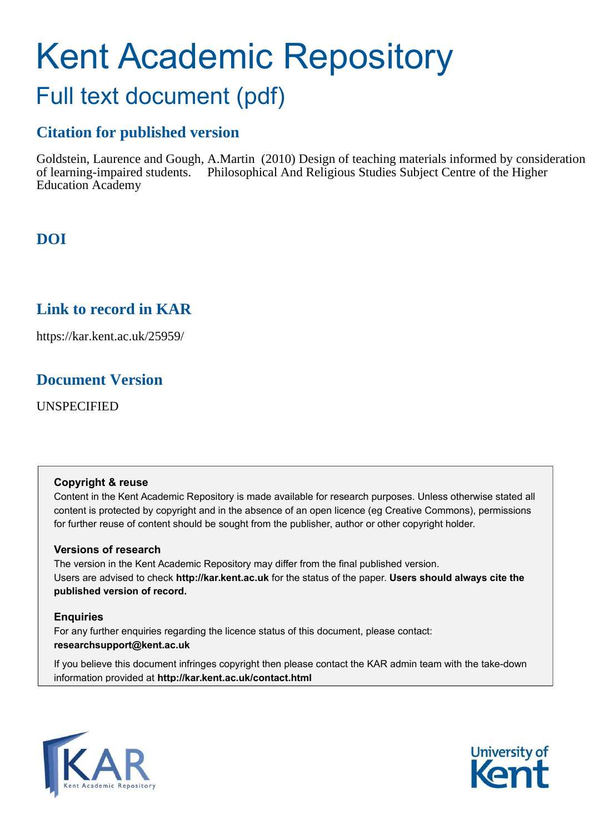# Kent Academic Repository

# Full text document (pdf)

# **Citation for published version**

Goldstein, Laurence and Gough, A.Martin (2010) Design of teaching materials informed by consideration of learning-impaired students. Philosophical And Religious Studies Subject Centre of the Higher Education Academy

# **DOI**

## **Link to record in KAR**

https://kar.kent.ac.uk/25959/

## **Document Version**

UNSPECIFIED

#### **Copyright & reuse**

Content in the Kent Academic Repository is made available for research purposes. Unless otherwise stated all content is protected by copyright and in the absence of an open licence (eg Creative Commons), permissions for further reuse of content should be sought from the publisher, author or other copyright holder.

#### **Versions of research**

The version in the Kent Academic Repository may differ from the final published version. Users are advised to check **http://kar.kent.ac.uk** for the status of the paper. **Users should always cite the published version of record.**

#### **Enquiries**

For any further enquiries regarding the licence status of this document, please contact: **researchsupport@kent.ac.uk**

If you believe this document infringes copyright then please contact the KAR admin team with the take-down information provided at **http://kar.kent.ac.uk/contact.html**



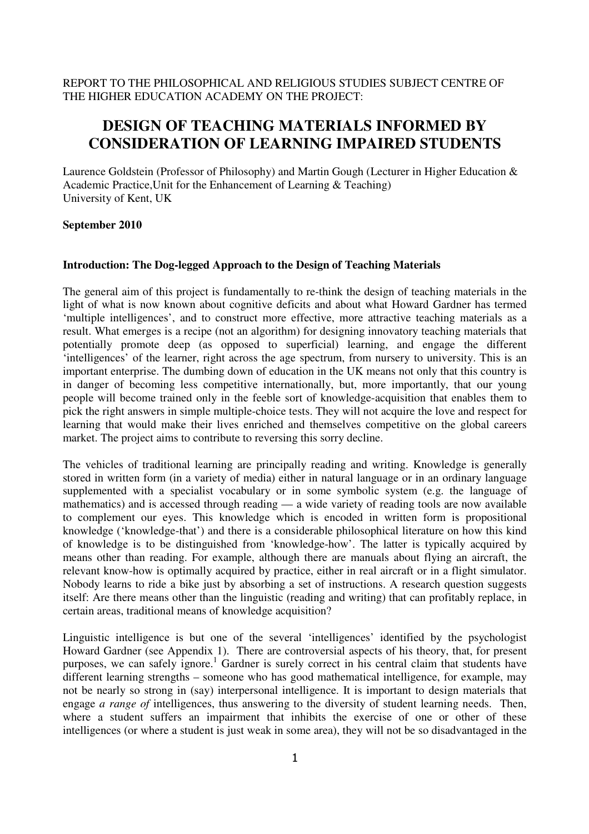REPORT TO THE PHILOSOPHICAL AND RELIGIOUS STUDIES SUBJECT CENTRE OF THE HIGHER EDUCATION ACADEMY ON THE PROJECT:

### **DESIGN OF TEACHING MATERIALS INFORMED BY CONSIDERATION OF LEARNING IMPAIRED STUDENTS**

Laurence Goldstein (Professor of Philosophy) and Martin Gough (Lecturer in Higher Education & Academic Practice,Unit for the Enhancement of Learning & Teaching) University of Kent, UK

#### **September 2010**

#### **Introduction: The Dog-legged Approach to the Design of Teaching Materials**

The general aim of this project is fundamentally to re-think the design of teaching materials in the light of what is now known about cognitive deficits and about what Howard Gardner has termed 'multiple intelligences', and to construct more effective, more attractive teaching materials as a result. What emerges is a recipe (not an algorithm) for designing innovatory teaching materials that potentially promote deep (as opposed to superficial) learning, and engage the different 'intelligences' of the learner, right across the age spectrum, from nursery to university. This is an important enterprise. The dumbing down of education in the UK means not only that this country is in danger of becoming less competitive internationally, but, more importantly, that our young people will become trained only in the feeble sort of knowledge-acquisition that enables them to pick the right answers in simple multiple-choice tests. They will not acquire the love and respect for learning that would make their lives enriched and themselves competitive on the global careers market. The project aims to contribute to reversing this sorry decline.

The vehicles of traditional learning are principally reading and writing. Knowledge is generally stored in written form (in a variety of media) either in natural language or in an ordinary language supplemented with a specialist vocabulary or in some symbolic system (e.g. the language of mathematics) and is accessed through reading — a wide variety of reading tools are now available to complement our eyes. This knowledge which is encoded in written form is propositional knowledge ('knowledge-that') and there is a considerable philosophical literature on how this kind of knowledge is to be distinguished from 'knowledge-how'. The latter is typically acquired by means other than reading. For example, although there are manuals about flying an aircraft, the relevant know-how is optimally acquired by practice, either in real aircraft or in a flight simulator. Nobody learns to ride a bike just by absorbing a set of instructions. A research question suggests itself: Are there means other than the linguistic (reading and writing) that can profitably replace, in certain areas, traditional means of knowledge acquisition?

Linguistic intelligence is but one of the several 'intelligences' identified by the psychologist Howard Gardner (see Appendix 1). There are controversial aspects of his theory, that, for present purposes, we can safely ignore.<sup>1</sup> Gardner is surely correct in his central claim that students have different learning strengths – someone who has good mathematical intelligence, for example, may not be nearly so strong in (say) interpersonal intelligence. It is important to design materials that engage *a range of* intelligences, thus answering to the diversity of student learning needs. Then, where a student suffers an impairment that inhibits the exercise of one or other of these intelligences (or where a student is just weak in some area), they will not be so disadvantaged in the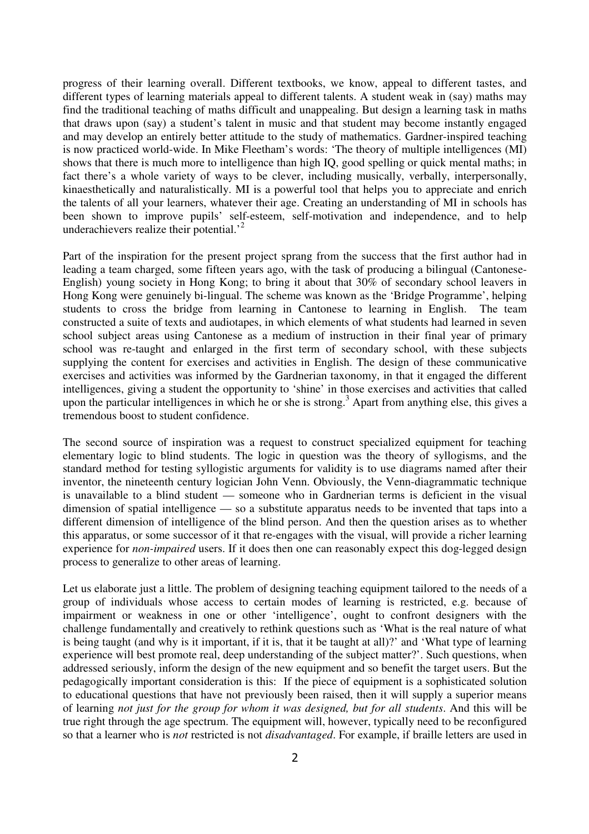different types of learning materials appeal to different talents. A student weak in (say) maths may find the traditional teaching of maths difficult and unappealing. But design a learning task in maths that draws upon (say) a student's talent in music and that student may become instantly engaged and may develop an entirely better attitude to the study of mathematics. Gardner-inspired teaching is now practiced world-wide. In Mike Fleetham's words: 'The theory of multiple intelligences (MI) shows that there is much more to intelligence than high IQ, good spelling or quick mental maths; in fact there's a whole variety of ways to be clever, including musically, verbally, interpersonally, kinaesthetically and naturalistically. MI is a powerful tool that helps you to appreciate and enrich the talents of all your learners, whatever their age. Creating an understanding of MI in schools has been shown to improve pupils' self-esteem, self-motivation and independence, and to help underachievers realize their potential.<sup> $2$ </sup>

progress of their learning overall. Different textbooks, we know, appeal to different tastes, and<br>their learning overall. The product textbooks, we know, appeal to the real to different tastes. A shade weak in mask and<br>fi Part of the inspiration for the present project sprang from the success that the first author had in leading a team charged, some fifteen years ago, with the task of producing a bilingual (Cantonese-English) young society in Hong Kong; to bring it about that 30% of secondary school leavers in Hong Kong were genuinely bi-lingual. The scheme was known as the 'Bridge Programme', helping students to cross the bridge from learning in Cantonese to learning in English. The team constructed a suite of texts and audiotapes, in which elements of what students had learned in seven school subject areas using Cantonese as a medium of instruction in their final year of primary school was re-taught and enlarged in the first term of secondary school, with these subjects supplying the content for exercises and activities in English. The design of these communicative exercises and activities was informed by the Gardnerian taxonomy, in that it engaged the different intelligences, giving a student the opportunity to 'shine' in those exercises and activities that called upon the particular intelligences in which he or she is strong.<sup>3</sup> Apart from anything else, this gives a tremendous boost to student confidence.

The second source of inspiration was a request to construct specialized equipment for teaching elementary logic to blind students. The logic in question was the theory of syllogisms, and the standard method for testing syllogistic arguments for validity is to use diagrams named after their inventor, the nineteenth century logician John Venn. Obviously, the Venn-diagrammatic technique is unavailable to a blind student — someone who in Gardnerian terms is deficient in the visual dimension of spatial intelligence — so a substitute apparatus needs to be invented that taps into a different dimension of intelligence of the blind person. And then the question arises as to whether this apparatus, or some successor of it that re-engages with the visual, will provide a richer learning experience for *non-impaired* users. If it does then one can reasonably expect this dog-legged design process to generalize to other areas of learning.

Let us elaborate just a little. The problem of designing teaching equipment tailored to the needs of a group of individuals whose access to certain modes of learning is restricted, e.g. because of impairment or weakness in one or other 'intelligence', ought to confront designers with the challenge fundamentally and creatively to rethink questions such as 'What is the real nature of what is being taught (and why is it important, if it is, that it be taught at all)?' and 'What type of learning experience will best promote real, deep understanding of the subject matter?'. Such questions, when addressed seriously, inform the design of the new equipment and so benefit the target users. But the pedagogically important consideration is this: If the piece of equipment is a sophisticated solution to educational questions that have not previously been raised, then it will supply a superior means of learning *not just for the group for whom it was designed, but for all students*. And this will be true right through the age spectrum. The equipment will, however, typically need to be reconfigured so that a learner who is *not* restricted is not *disadvantaged*. For example, if braille letters are used in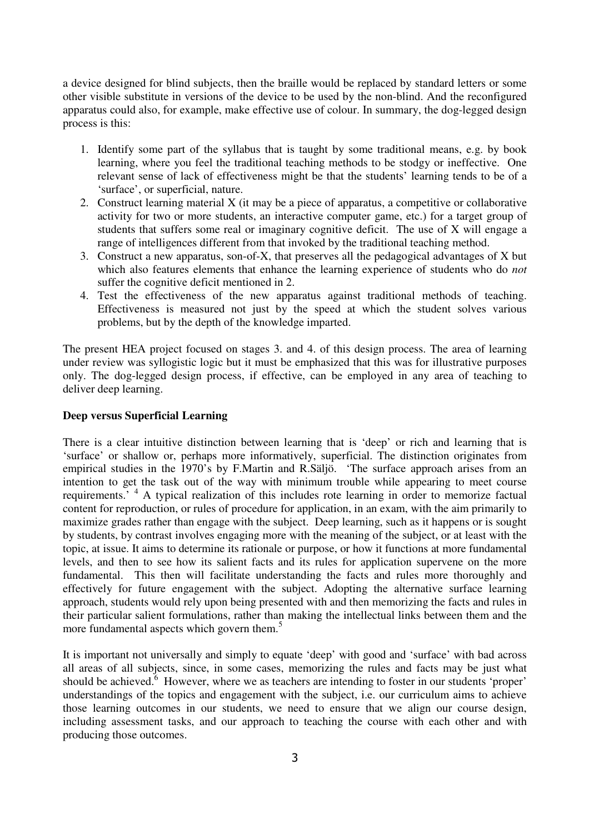a device designed for blind subjects, then the braille would be replaced by standard letters or some other visible substitute in versions of the device to be used by the non-blind. And the reconfigured apparatus could also, for example, make effective use of colour. In summary, the dog-legged design process is this:

- 1. Identify some part of the syllabus that is taught by some traditional means, e.g. by book learning, where you feel the traditional teaching methods to be stodgy or ineffective. One relevant sense of lack of effectiveness might be that the students' learning tends to be of a 'surface', or superficial, nature.
- 2. Construct learning material X (it may be a piece of apparatus, a competitive or collaborative activity for two or more students, an interactive computer game, etc.) for a target group of students that suffers some real or imaginary cognitive deficit. The use of X will engage a range of intelligences different from that invoked by the traditional teaching method.
- 3. Construct a new apparatus, son-of-X, that preserves all the pedagogical advantages of X but which also features elements that enhance the learning experience of students who do *not* suffer the cognitive deficit mentioned in 2.
- 4. Test the effectiveness of the new apparatus against traditional methods of teaching. Effectiveness is measured not just by the speed at which the student solves various problems, but by the depth of the knowledge imparted.

The present HEA project focused on stages 3. and 4. of this design process. The area of learning under review was syllogistic logic but it must be emphasized that this was for illustrative purposes only. The dog-legged design process, if effective, can be employed in any area of teaching to deliver deep learning.

#### **Deep versus Superficial Learning**

There is a clear intuitive distinction between learning that is 'deep' or rich and learning that is 'surface' or shallow or, perhaps more informatively, superficial. The distinction originates from empirical studies in the 1970's by F.Martin and R.Säljö. 'The surface approach arises from an intention to get the task out of the way with minimum trouble while appearing to meet course requirements.<sup>4</sup> A typical realization of this includes rote learning in order to memorize factual content for reproduction, or rules of procedure for application, in an exam, with the aim primarily to maximize grades rather than engage with the subject. Deep learning, such as it happens or is sought by students, by contrast involves engaging more with the meaning of the subject, or at least with the topic, at issue. It aims to determine its rationale or purpose, or how it functions at more fundamental levels, and then to see how its salient facts and its rules for application supervene on the more fundamental. This then will facilitate understanding the facts and rules more thoroughly and effectively for future engagement with the subject. Adopting the alternative surface learning approach, students would rely upon being presented with and then memorizing the facts and rules in their particular salient formulations, rather than making the intellectual links between them and the more fundamental aspects which govern them.<sup>5</sup>

It is important not universally and simply to equate 'deep' with good and 'surface' with bad across all areas of all subjects, since, in some cases, memorizing the rules and facts may be just what should be achieved.  $\frac{6}{6}$  However, where we as teachers are intending to foster in our students 'proper' understandings of the topics and engagement with the subject, i.e. our curriculum aims to achieve those learning outcomes in our students, we need to ensure that we align our course design, including assessment tasks, and our approach to teaching the course with each other and with producing those outcomes.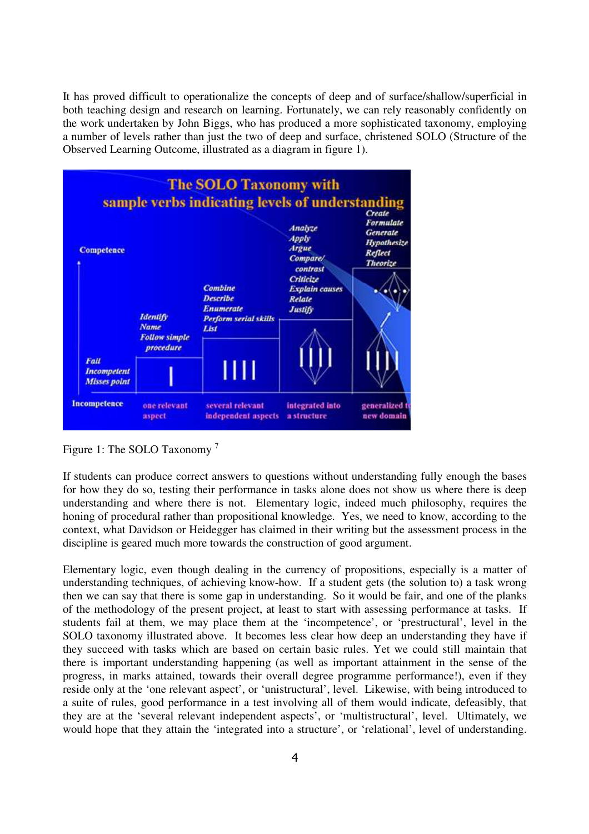It has proved difficult to operationalize the concepts of deep and of surface/shallow/superficial in both teaching design and research on learning. Fortunately, we can rely reasonably confidently on the work undertaken by John Biggs, who has produced a more sophisticated taxonomy, employing a number of levels rather than just the two of deep and surface, christened SOLO (Structure of the Observed Learning Outcome, illustrated as a diagram in figure 1).



Figure 1: The SOLO Taxonomy<sup>7</sup>

If students can produce correct answers to questions without understanding fully enough the bases for how they do so, testing their performance in tasks alone does not show us where there is deep understanding and where there is not. Elementary logic, indeed much philosophy, requires the honing of procedural rather than propositional knowledge. Yes, we need to know, according to the context, what Davidson or Heidegger has claimed in their writing but the assessment process in the discipline is geared much more towards the construction of good argument.

Elementary logic, even though dealing in the currency of propositions, especially is a matter of understanding techniques, of achieving know-how. If a student gets (the solution to) a task wrong then we can say that there is some gap in understanding. So it would be fair, and one of the planks of the methodology of the present project, at least to start with assessing performance at tasks. If students fail at them, we may place them at the 'incompetence', or 'prestructural', level in the SOLO taxonomy illustrated above. It becomes less clear how deep an understanding they have if they succeed with tasks which are based on certain basic rules. Yet we could still maintain that there is important understanding happening (as well as important attainment in the sense of the progress, in marks attained, towards their overall degree programme performance!), even if they reside only at the 'one relevant aspect', or 'unistructural', level. Likewise, with being introduced to a suite of rules, good performance in a test involving all of them would indicate, defeasibly, that they are at the 'several relevant independent aspects', or 'multistructural', level. Ultimately, we would hope that they attain the 'integrated into a structure', or 'relational', level of understanding.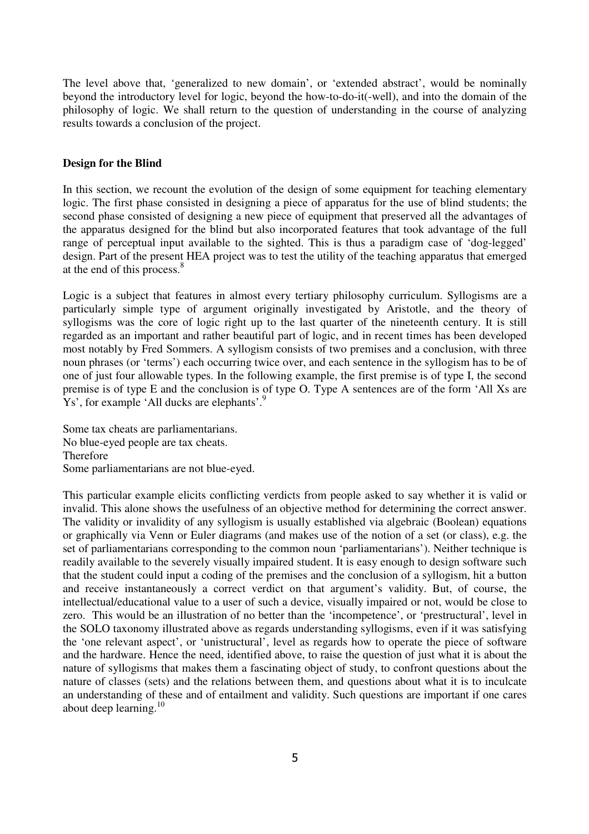The level above that, 'generalized to new domain', or 'extended abstract', would be nominally beyond the introductory level for logic, beyond the how-to-do-it(-well), and into the domain of the philosophy of logic. We shall return to the question of understanding in the course of analyzing results towards a conclusion of the project.

#### **Design for the Blind**

In this section, we recount the evolution of the design of some equipment for teaching elementary logic. The first phase consisted in designing a piece of apparatus for the use of blind students; the second phase consisted of designing a new piece of equipment that preserved all the advantages of the apparatus designed for the blind but also incorporated features that took advantage of the full range of perceptual input available to the sighted. This is thus a paradigm case of 'dog-legged' design. Part of the present HEA project was to test the utility of the teaching apparatus that emerged at the end of this process.<sup>8</sup>

Logic is a subject that features in almost every tertiary philosophy curriculum. Syllogisms are a particularly simple type of argument originally investigated by Aristotle, and the theory of syllogisms was the core of logic right up to the last quarter of the nineteenth century. It is still regarded as an important and rather beautiful part of logic, and in recent times has been developed most notably by Fred Sommers. A syllogism consists of two premises and a conclusion, with three noun phrases (or 'terms') each occurring twice over, and each sentence in the syllogism has to be of one of just four allowable types. In the following example, the first premise is of type I, the second premise is of type E and the conclusion is of type O. Type A sentences are of the form 'All Xs are Ys', for example 'All ducks are elephants'.<sup>9</sup>

Some tax cheats are parliamentarians. No blue-eyed people are tax cheats. Therefore Some parliamentarians are not blue-eyed.

This particular example elicits conflicting verdicts from people asked to say whether it is valid or invalid. This alone shows the usefulness of an objective method for determining the correct answer. The validity or invalidity of any syllogism is usually established via algebraic (Boolean) equations or graphically via Venn or Euler diagrams (and makes use of the notion of a set (or class), e.g. the set of parliamentarians corresponding to the common noun 'parliamentarians'). Neither technique is readily available to the severely visually impaired student. It is easy enough to design software such that the student could input a coding of the premises and the conclusion of a syllogism, hit a button and receive instantaneously a correct verdict on that argument's validity. But, of course, the intellectual/educational value to a user of such a device, visually impaired or not, would be close to zero. This would be an illustration of no better than the 'incompetence', or 'prestructural', level in the SOLO taxonomy illustrated above as regards understanding syllogisms, even if it was satisfying the 'one relevant aspect', or 'unistructural', level as regards how to operate the piece of software and the hardware. Hence the need, identified above, to raise the question of just what it is about the nature of syllogisms that makes them a fascinating object of study, to confront questions about the nature of classes (sets) and the relations between them, and questions about what it is to inculcate an understanding of these and of entailment and validity. Such questions are important if one cares about deep learning. $10$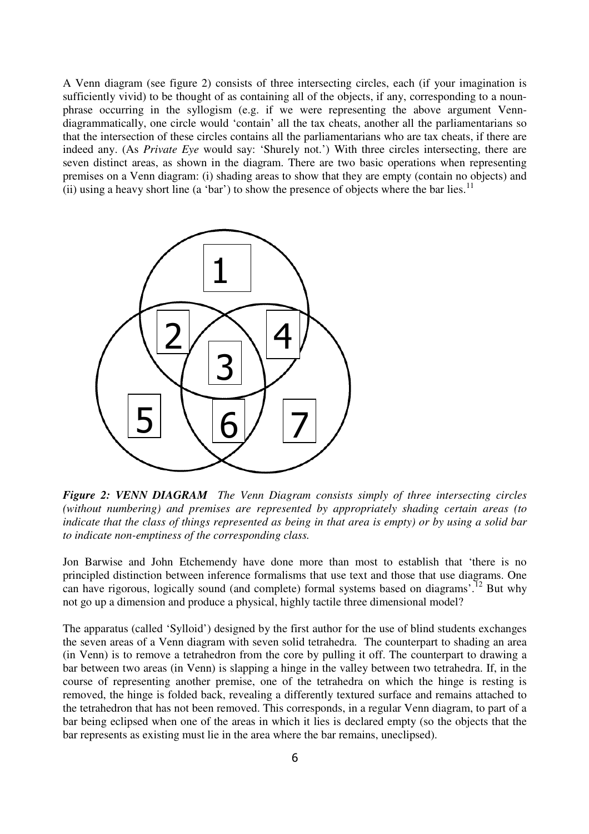A Venn diagram (see figure 2) consists of three intersecting circles, each (if your imagination is sufficiently vivid) to be thought of as containing all of the objects, if any, corresponding to a nounphrase occurring in the syllogism (e.g. if we were representing the above argument Venndiagrammatically, one circle would 'contain' all the tax cheats, another all the parliamentarians so that the intersection of these circles contains all the parliamentarians who are tax cheats, if there are indeed any. (As *Private Eye* would say: 'Shurely not.') With three circles intersecting, there are seven distinct areas, as shown in the diagram. There are two basic operations when representing premises on a Venn diagram: (i) shading areas to show that they are empty (contain no objects) and (ii) using a heavy short line (a 'bar') to show the presence of objects where the bar lies.<sup>11</sup>



*Figure 2: VENN DIAGRAM The Venn Diagram consists simply of three intersecting circles (without numbering) and premises are represented by appropriately shading certain areas (to indicate that the class of things represented as being in that area is empty) or by using a solid bar to indicate non-emptiness of the corresponding class.* 

Jon Barwise and John Etchemendy have done more than most to establish that 'there is no principled distinction between inference formalisms that use text and those that use diagrams. One can have rigorous, logically sound (and complete) formal systems based on diagrams'.<sup>12</sup> But why not go up a dimension and produce a physical, highly tactile three dimensional model?

The apparatus (called 'Sylloid') designed by the first author for the use of blind students exchanges the seven areas of a Venn diagram with seven solid tetrahedra. The counterpart to shading an area (in Venn) is to remove a tetrahedron from the core by pulling it off. The counterpart to drawing a bar between two areas (in Venn) is slapping a hinge in the valley between two tetrahedra. If, in the course of representing another premise, one of the tetrahedra on which the hinge is resting is removed, the hinge is folded back, revealing a differently textured surface and remains attached to the tetrahedron that has not been removed. This corresponds, in a regular Venn diagram, to part of a bar being eclipsed when one of the areas in which it lies is declared empty (so the objects that the bar represents as existing must lie in the area where the bar remains, uneclipsed).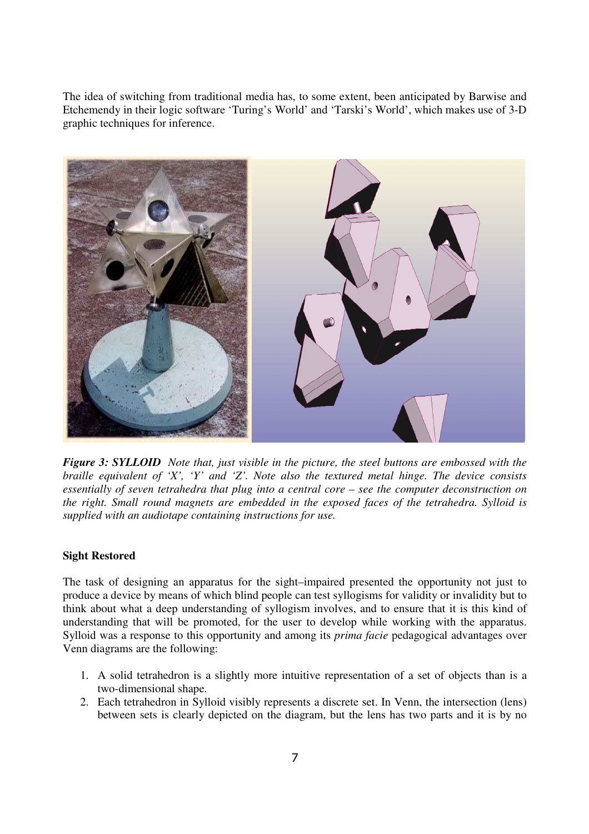The idea of switching from traditional media has, to some extent, been anticipated by Barwise and Etchemendy in their logic software 'Turing's World' and 'Tarski's World', which makes use of 3-D graphic techniques for inference.



*Figure 3: SYLLOID Note that, just visible in the picture, the steel buttons are embossed with the braille equivalent of 'X', 'Y' and 'Z'. Note also the textured metal hinge. The device consists essentially of seven tetrahedra that plug into a central core – see the computer deconstruction on the right. Small round magnets are embedded in the exposed faces of the tetrahedra. Sylloid is supplied with an audiotape containing instructions for use.* 

#### **Sight Restored**

The task of designing an apparatus for the sight–impaired presented the opportunity not just to produce a device by means of which blind people can test syllogisms for validity or invalidity but to think about what a deep understanding of syllogism involves, and to ensure that it is this kind of understanding that will be promoted, for the user to develop while working with the apparatus. Sylloid was a response to this opportunity and among its *prima facie* pedagogical advantages over Venn diagrams are the following:

- 1. A solid tetrahedron is a slightly more intuitive representation of a set of objects than is a two-dimensional shape.
- 2. Each tetrahedron in Sylloid visibly represents a discrete set. In Venn, the intersection (lens) between sets is clearly depicted on the diagram, but the lens has two parts and it is by no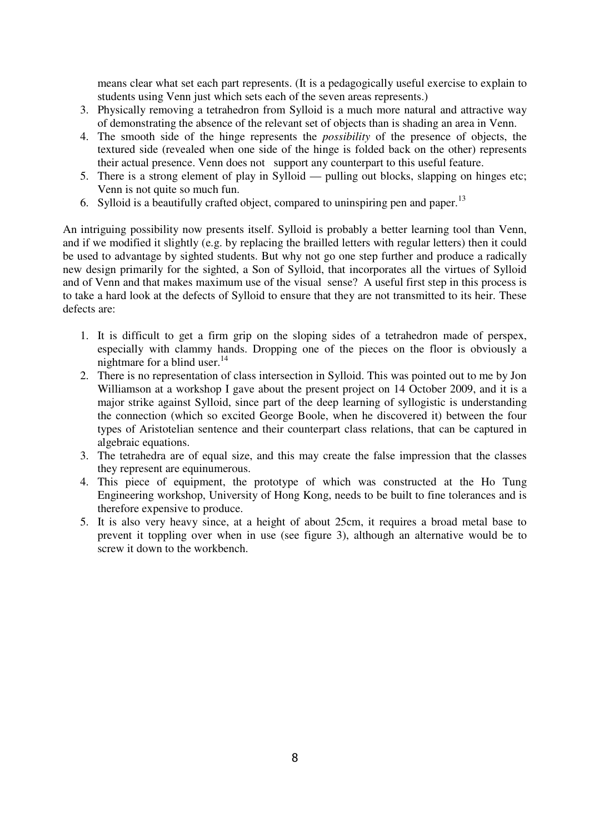means clear what set each part represents. (It is a pedagogically useful exercise to explain to students using Venn just which sets each of the seven areas represents.)

- 3. Physically removing a tetrahedron from Sylloid is a much more natural and attractive way of demonstrating the absence of the relevant set of objects than is shading an area in Venn.
- 4. The smooth side of the hinge represents the *possibility* of the presence of objects, the textured side (revealed when one side of the hinge is folded back on the other) represents their actual presence. Venn does not support any counterpart to this useful feature.
- 5. There is a strong element of play in Sylloid pulling out blocks, slapping on hinges etc; Venn is not quite so much fun.
- 6. Sylloid is a beautifully crafted object, compared to uninspiring pen and paper.<sup>13</sup>

An intriguing possibility now presents itself. Sylloid is probably a better learning tool than Venn, and if we modified it slightly (e.g. by replacing the brailled letters with regular letters) then it could be used to advantage by sighted students. But why not go one step further and produce a radically new design primarily for the sighted, a Son of Sylloid, that incorporates all the virtues of Sylloid and of Venn and that makes maximum use of the visual sense? A useful first step in this process is to take a hard look at the defects of Sylloid to ensure that they are not transmitted to its heir. These defects are:

- 1. It is difficult to get a firm grip on the sloping sides of a tetrahedron made of perspex, especially with clammy hands. Dropping one of the pieces on the floor is obviously a nightmare for a blind user.<sup>14</sup>
- 2. There is no representation of class intersection in Sylloid. This was pointed out to me by Jon Williamson at a workshop I gave about the present project on 14 October 2009, and it is a major strike against Sylloid, since part of the deep learning of syllogistic is understanding the connection (which so excited George Boole, when he discovered it) between the four types of Aristotelian sentence and their counterpart class relations, that can be captured in algebraic equations.
- 3. The tetrahedra are of equal size, and this may create the false impression that the classes they represent are equinumerous.
- 4. This piece of equipment, the prototype of which was constructed at the Ho Tung Engineering workshop, University of Hong Kong, needs to be built to fine tolerances and is therefore expensive to produce.
- 5. It is also very heavy since, at a height of about 25cm, it requires a broad metal base to prevent it toppling over when in use (see figure 3), although an alternative would be to screw it down to the workbench.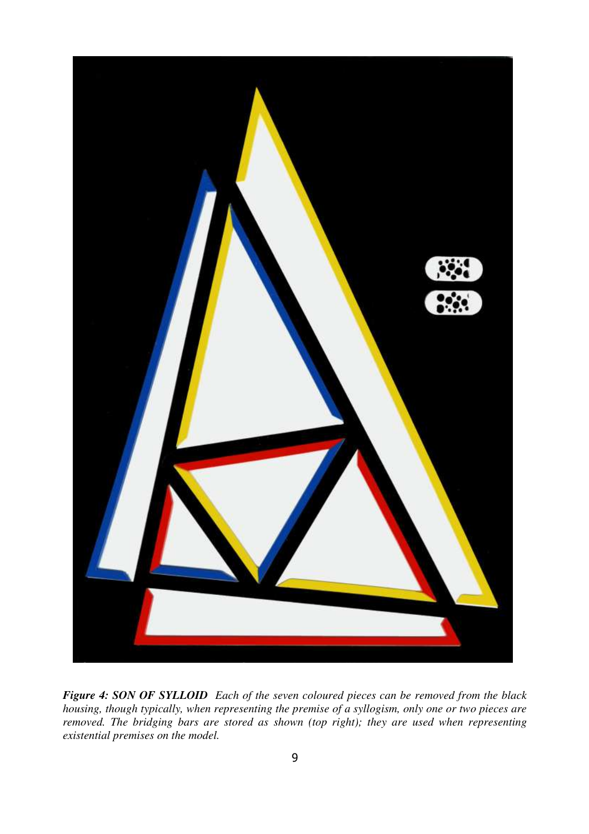

*Figure 4: SON OF SYLLOID Each of the seven coloured pieces can be removed from the black housing, though typically, when representing the premise of a syllogism, only one or two pieces are removed. The bridging bars are stored as shown (top right); they are used when representing existential premises on the model.*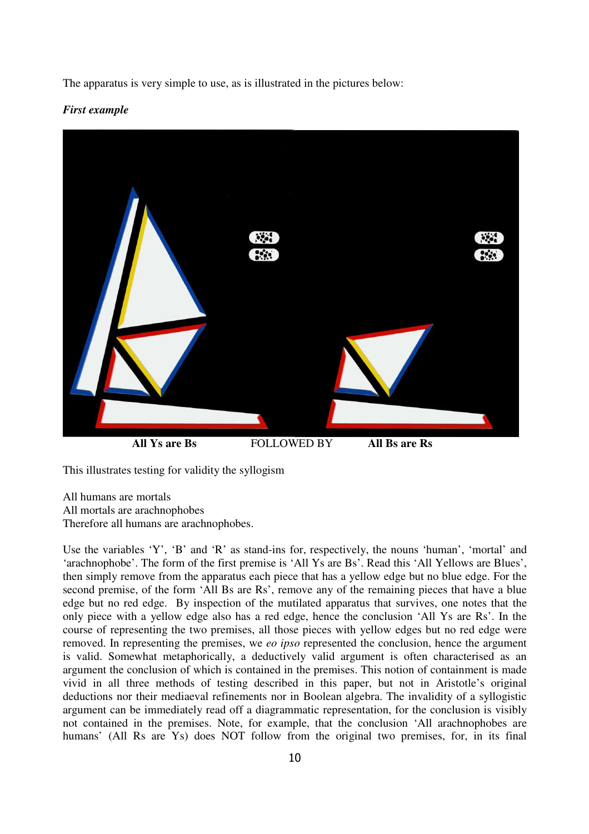The apparatus is very simple to use, as is illustrated in the pictures below:

#### *First example*



This illustrates testing for validity the syllogism

All humans are mortals All mortals are arachnophobes Therefore all humans are arachnophobes.

Use the variables 'Y', 'B' and 'R' as stand-ins for, respectively, the nouns 'human', 'mortal' and 'arachnophobe'. The form of the first premise is 'All Ys are Bs'. Read this 'All Yellows are Blues', then simply remove from the apparatus each piece that has a yellow edge but no blue edge. For the second premise, of the form 'All Bs are Rs', remove any of the remaining pieces that have a blue edge but no red edge. By inspection of the mutilated apparatus that survives, one notes that the only piece with a yellow edge also has a red edge, hence the conclusion 'All Ys are Rs'. In the course of representing the two premises, all those pieces with yellow edges but no red edge were removed. In representing the premises, we *eo ipso* represented the conclusion, hence the argument is valid. Somewhat metaphorically, a deductively valid argument is often characterised as an argument the conclusion of which is contained in the premises. This notion of containment is made vivid in all three methods of testing described in this paper, but not in Aristotle's original deductions nor their mediaeval refinements nor in Boolean algebra. The invalidity of a syllogistic argument can be immediately read off a diagrammatic representation, for the conclusion is visibly not contained in the premises. Note, for example, that the conclusion 'All arachnophobes are humans' (All Rs are Ys) does NOT follow from the original two premises, for, in its final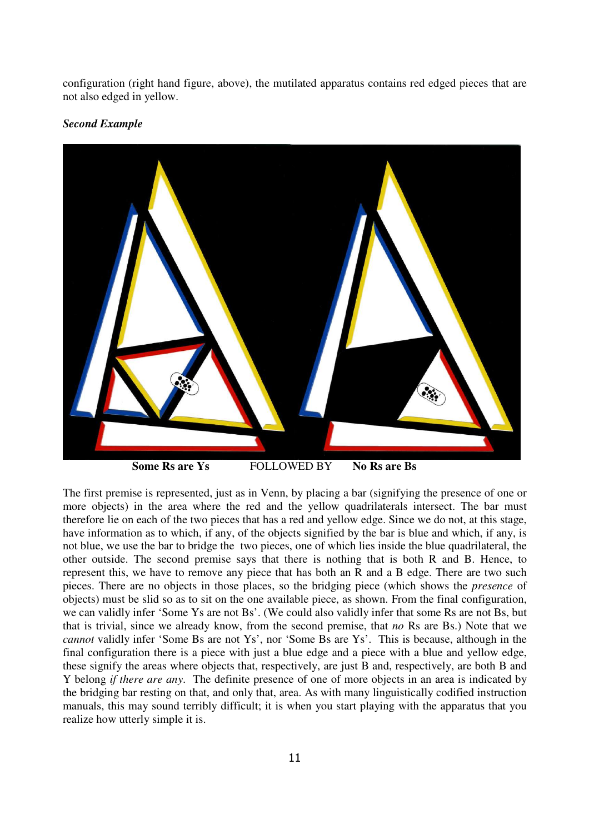configuration (right hand figure, above), the mutilated apparatus contains red edged pieces that are not also edged in yellow.

#### *Second Example*



**Some Rs are Ys** FOLLOWED BY **No Rs are Bs** 

The first premise is represented, just as in Venn, by placing a bar (signifying the presence of one or more objects) in the area where the red and the yellow quadrilaterals intersect. The bar must therefore lie on each of the two pieces that has a red and yellow edge. Since we do not, at this stage, have information as to which, if any, of the objects signified by the bar is blue and which, if any, is not blue, we use the bar to bridge the two pieces, one of which lies inside the blue quadrilateral, the other outside. The second premise says that there is nothing that is both R and B. Hence, to represent this, we have to remove any piece that has both an R and a B edge. There are two such pieces. There are no objects in those places, so the bridging piece (which shows the *presence* of objects) must be slid so as to sit on the one available piece, as shown. From the final configuration, we can validly infer 'Some Ys are not Bs'. (We could also validly infer that some Rs are not Bs, but that is trivial, since we already know, from the second premise, that *no* Rs are Bs.) Note that we *cannot* validly infer 'Some Bs are not Ys', nor 'Some Bs are Ys'. This is because, although in the final configuration there is a piece with just a blue edge and a piece with a blue and yellow edge, these signify the areas where objects that, respectively, are just B and, respectively, are both B and Y belong *if there are any*. The definite presence of one of more objects in an area is indicated by the bridging bar resting on that, and only that, area. As with many linguistically codified instruction manuals, this may sound terribly difficult; it is when you start playing with the apparatus that you realize how utterly simple it is.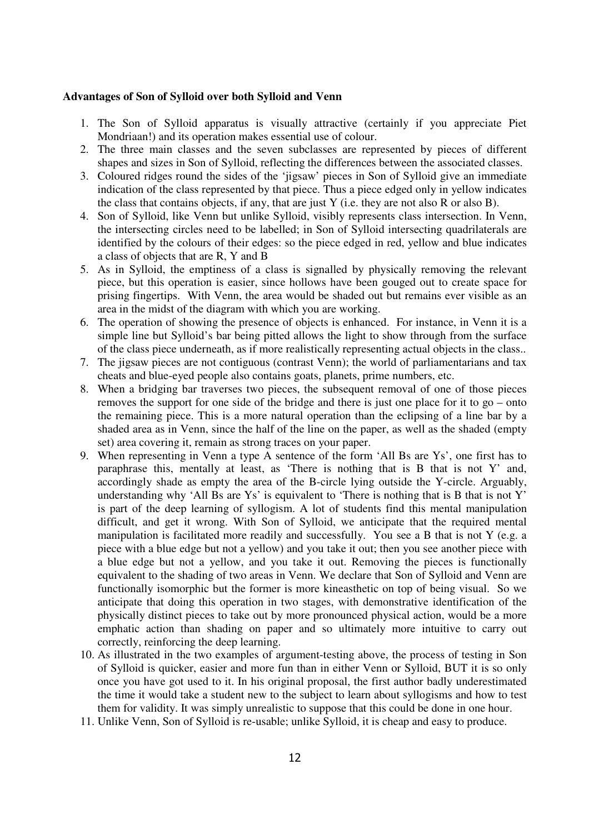- 1. The Son of Sylloid apparatus is visually attractive (certainly if you appreciate Piet Mondriaan!) and its operation makes essential use of colour.
- 2. The three main classes and the seven subclasses are represented by pieces of different shapes and sizes in Son of Sylloid, reflecting the differences between the associated classes.
- 3. Coloured ridges round the sides of the 'jigsaw' pieces in Son of Sylloid give an immediate indication of the class represented by that piece. Thus a piece edged only in yellow indicates the class that contains objects, if any, that are just  $Y$  (i.e. they are not also R or also B).
- 4. Son of Sylloid, like Venn but unlike Sylloid, visibly represents class intersection. In Venn, the intersecting circles need to be labelled; in Son of Sylloid intersecting quadrilaterals are identified by the colours of their edges: so the piece edged in red, yellow and blue indicates a class of objects that are R, Y and B
- 5. As in Sylloid, the emptiness of a class is signalled by physically removing the relevant piece, but this operation is easier, since hollows have been gouged out to create space for prising fingertips. With Venn, the area would be shaded out but remains ever visible as an area in the midst of the diagram with which you are working.
- 6. The operation of showing the presence of objects is enhanced. For instance, in Venn it is a simple line but Sylloid's bar being pitted allows the light to show through from the surface of the class piece underneath, as if more realistically representing actual objects in the class..
- 7. The jigsaw pieces are not contiguous (contrast Venn); the world of parliamentarians and tax cheats and blue-eyed people also contains goats, planets, prime numbers, etc.
- 8. When a bridging bar traverses two pieces, the subsequent removal of one of those pieces removes the support for one side of the bridge and there is just one place for it to go – onto the remaining piece. This is a more natural operation than the eclipsing of a line bar by a shaded area as in Venn, since the half of the line on the paper, as well as the shaded (empty set) area covering it, remain as strong traces on your paper.
- **Advantages of Son of Sylloid over both Sylloid and Venn**<br>1. The Son of Sylloid apparatus is visually attracted<br>2. The linee main classes and the severa subclusses shalls of performates and interespendent use of Sylloid, r 9. When representing in Venn a type A sentence of the form 'All Bs are Ys', one first has to paraphrase this, mentally at least, as 'There is nothing that is B that is not Y' and, accordingly shade as empty the area of the B-circle lying outside the Y-circle. Arguably, understanding why 'All Bs are Ys' is equivalent to 'There is nothing that is B that is not Y' is part of the deep learning of syllogism. A lot of students find this mental manipulation difficult, and get it wrong. With Son of Sylloid, we anticipate that the required mental manipulation is facilitated more readily and successfully. You see a B that is not Y (e.g. a piece with a blue edge but not a yellow) and you take it out; then you see another piece with a blue edge but not a yellow, and you take it out. Removing the pieces is functionally equivalent to the shading of two areas in Venn. We declare that Son of Sylloid and Venn are functionally isomorphic but the former is more kineasthetic on top of being visual. So we anticipate that doing this operation in two stages, with demonstrative identification of the physically distinct pieces to take out by more pronounced physical action, would be a more emphatic action than shading on paper and so ultimately more intuitive to carry out correctly, reinforcing the deep learning.
	- 10. As illustrated in the two examples of argument-testing above, the process of testing in Son of Sylloid is quicker, easier and more fun than in either Venn or Sylloid, BUT it is so only once you have got used to it. In his original proposal, the first author badly underestimated the time it would take a student new to the subject to learn about syllogisms and how to test them for validity. It was simply unrealistic to suppose that this could be done in one hour.
	- 11. Unlike Venn, Son of Sylloid is re-usable; unlike Sylloid, it is cheap and easy to produce.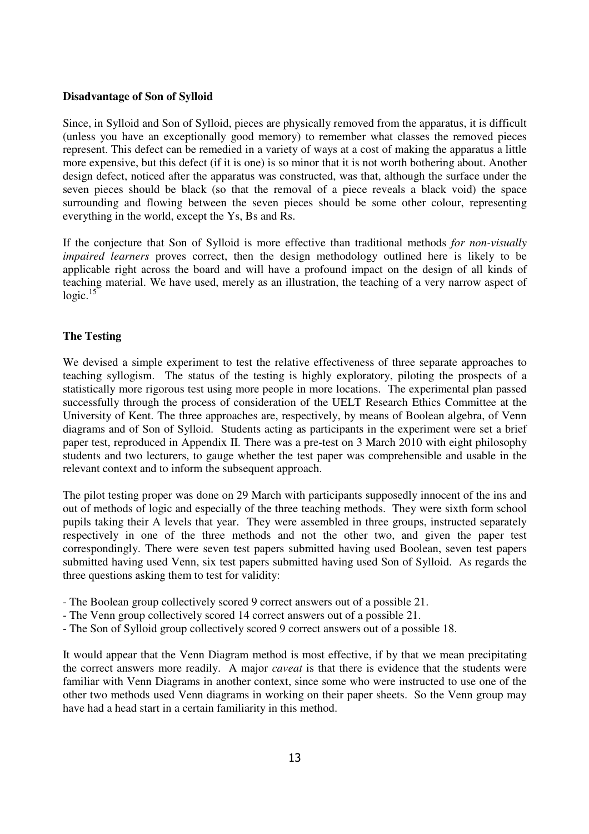#### **Disadvantage of Son of Sylloid**

Since, in Sylloid and Son of Sylloid, pieces are physically removed from the apparatus, it is difficult (unless you have an exceptionally good memory) to remember what classes the removed pieces represent. This defect can be remedied in a variety of ways at a cost of making the apparatus a little more expensive, but this defect (if it is one) is so minor that it is not worth bothering about. Another design defect, noticed after the apparatus was constructed, was that, although the surface under the seven pieces should be black (so that the removal of a piece reveals a black void) the space surrounding and flowing between the seven pieces should be some other colour, representing everything in the world, except the Ys, Bs and Rs.

If the conjecture that Son of Sylloid is more effective than traditional methods *for non-visually impaired learners* proves correct, then the design methodology outlined here is likely to be applicable right across the board and will have a profound impact on the design of all kinds of teaching material. We have used, merely as an illustration, the teaching of a very narrow aspect of  $lo$ gic.<sup>15</sup>

#### **The Testing**

We devised a simple experiment to test the relative effectiveness of three separate approaches to teaching syllogism. The status of the testing is highly exploratory, piloting the prospects of a statistically more rigorous test using more people in more locations. The experimental plan passed successfully through the process of consideration of the UELT Research Ethics Committee at the University of Kent. The three approaches are, respectively, by means of Boolean algebra, of Venn diagrams and of Son of Sylloid. Students acting as participants in the experiment were set a brief paper test, reproduced in Appendix II. There was a pre-test on 3 March 2010 with eight philosophy students and two lecturers, to gauge whether the test paper was comprehensible and usable in the relevant context and to inform the subsequent approach.

The pilot testing proper was done on 29 March with participants supposedly innocent of the ins and out of methods of logic and especially of the three teaching methods. They were sixth form school pupils taking their A levels that year. They were assembled in three groups, instructed separately respectively in one of the three methods and not the other two, and given the paper test correspondingly. There were seven test papers submitted having used Boolean, seven test papers submitted having used Venn, six test papers submitted having used Son of Sylloid. As regards the three questions asking them to test for validity:

- The Boolean group collectively scored 9 correct answers out of a possible 21.
- The Venn group collectively scored 14 correct answers out of a possible 21.
- The Son of Sylloid group collectively scored 9 correct answers out of a possible 18.

It would appear that the Venn Diagram method is most effective, if by that we mean precipitating the correct answers more readily. A major *caveat* is that there is evidence that the students were familiar with Venn Diagrams in another context, since some who were instructed to use one of the other two methods used Venn diagrams in working on their paper sheets. So the Venn group may have had a head start in a certain familiarity in this method.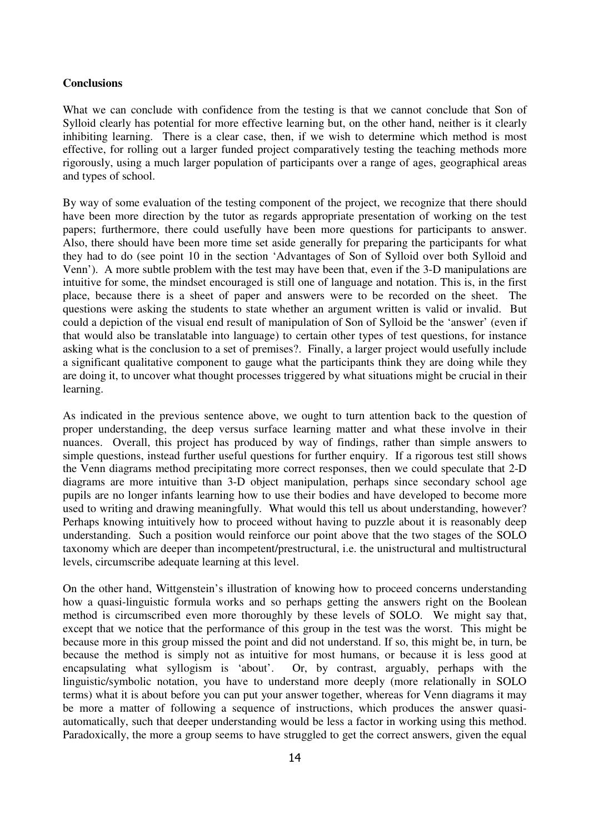#### **Conclusions**

What we can conclude with confidence from the testing is that we cannot conclude that Son of Sylloid clearly has potential for more effective learning but, on the other hand, neither is it clearly inhibiting learning. There is a clear case, then, if we wish to determine which method is most effective, for rolling out a larger funded project comparatively testing the teaching methods more rigorously, using a much larger population of participants over a range of ages, geographical areas and types of school.

By way of some evaluation of the testing component of the project, we recognize that there should have been more direction by the tutor as regards appropriate presentation of working on the test papers; furthermore, there could usefully have been more questions for participants to answer. Also, there should have been more time set aside generally for preparing the participants for what they had to do (see point 10 in the section 'Advantages of Son of Sylloid over both Sylloid and Venn'). A more subtle problem with the test may have been that, even if the 3-D manipulations are intuitive for some, the mindset encouraged is still one of language and notation. This is, in the first place, because there is a sheet of paper and answers were to be recorded on the sheet. The questions were asking the students to state whether an argument written is valid or invalid. But could a depiction of the visual end result of manipulation of Son of Sylloid be the 'answer' (even if that would also be translatable into language) to certain other types of test questions, for instance asking what is the conclusion to a set of premises?. Finally, a larger project would usefully include a significant qualitative component to gauge what the participants think they are doing while they are doing it, to uncover what thought processes triggered by what situations might be crucial in their learning.

As indicated in the previous sentence above, we ought to turn attention back to the question of proper understanding, the deep versus surface learning matter and what these involve in their nuances. Overall, this project has produced by way of findings, rather than simple answers to simple questions, instead further useful questions for further enquiry. If a rigorous test still shows the Venn diagrams method precipitating more correct responses, then we could speculate that 2-D diagrams are more intuitive than 3-D object manipulation, perhaps since secondary school age pupils are no longer infants learning how to use their bodies and have developed to become more used to writing and drawing meaningfully. What would this tell us about understanding, however? Perhaps knowing intuitively how to proceed without having to puzzle about it is reasonably deep understanding. Such a position would reinforce our point above that the two stages of the SOLO taxonomy which are deeper than incompetent/prestructural, i.e. the unistructural and multistructural levels, circumscribe adequate learning at this level.

On the other hand, Wittgenstein's illustration of knowing how to proceed concerns understanding how a quasi-linguistic formula works and so perhaps getting the answers right on the Boolean method is circumscribed even more thoroughly by these levels of SOLO. We might say that, except that we notice that the performance of this group in the test was the worst. This might be because more in this group missed the point and did not understand. If so, this might be, in turn, be because the method is simply not as intuitive for most humans, or because it is less good at encapsulating what syllogism is 'about'. Or, by contrast, arguably, perhaps with the linguistic/symbolic notation, you have to understand more deeply (more relationally in SOLO terms) what it is about before you can put your answer together, whereas for Venn diagrams it may be more a matter of following a sequence of instructions, which produces the answer quasiautomatically, such that deeper understanding would be less a factor in working using this method. Paradoxically, the more a group seems to have struggled to get the correct answers, given the equal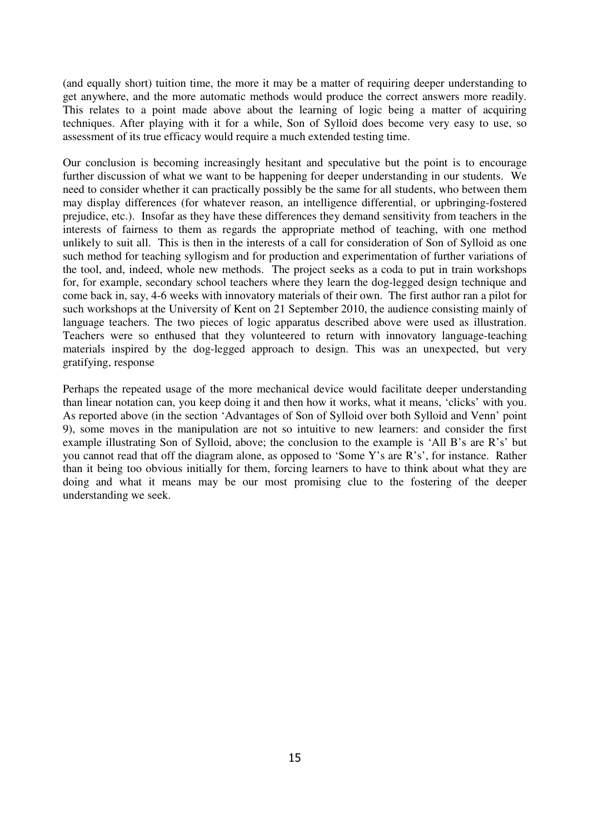(and equally short) tuition time, the more it may be a matter of requiring deeper understanding to get anywhere, and the more automatic methods would produce the correct answers more readily. This relates to a point made above about the learning of logic being a matter of acquiring techniques. After playing with it for a while, Son of Sylloid does become very easy to use, so assessment of its true efficacy would require a much extended testing time.

Our conclusion is becoming increasingly hesitant and speculative but the point is to encourage further discussion of what we want to be happening for deeper understanding in our students. We need to consider whether it can practically possibly be the same for all students, who between them may display differences (for whatever reason, an intelligence differential, or upbringing-fostered prejudice, etc.). Insofar as they have these differences they demand sensitivity from teachers in the interests of fairness to them as regards the appropriate method of teaching, with one method unlikely to suit all. This is then in the interests of a call for consideration of Son of Sylloid as one such method for teaching syllogism and for production and experimentation of further variations of the tool, and, indeed, whole new methods. The project seeks as a coda to put in train workshops for, for example, secondary school teachers where they learn the dog-legged design technique and come back in, say, 4-6 weeks with innovatory materials of their own. The first author ran a pilot for such workshops at the University of Kent on 21 September 2010, the audience consisting mainly of language teachers. The two pieces of logic apparatus described above were used as illustration. Teachers were so enthused that they volunteered to return with innovatory language-teaching materials inspired by the dog-legged approach to design. This was an unexpected, but very gratifying, response

Perhaps the repeated usage of the more mechanical device would facilitate deeper understanding than linear notation can, you keep doing it and then how it works, what it means, 'clicks' with you. As reported above (in the section 'Advantages of Son of Sylloid over both Sylloid and Venn' point 9), some moves in the manipulation are not so intuitive to new learners: and consider the first example illustrating Son of Sylloid, above; the conclusion to the example is 'All B's are R's' but you cannot read that off the diagram alone, as opposed to 'Some Y's are R's', for instance. Rather than it being too obvious initially for them, forcing learners to have to think about what they are doing and what it means may be our most promising clue to the fostering of the deeper understanding we seek.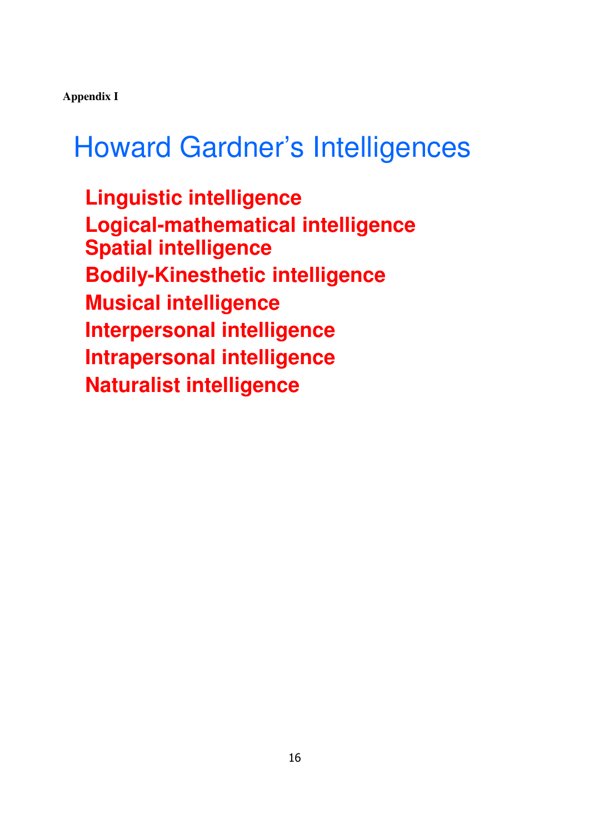**Appendix I** 

# Howard Gardner's Intelligences

**Linguistic intelligence Logical-mathematical intelligence Spatial intelligence Bodily-Kinesthetic intelligence Musical intelligence Interpersonal intelligence Intrapersonal intelligence Naturalist intelligence**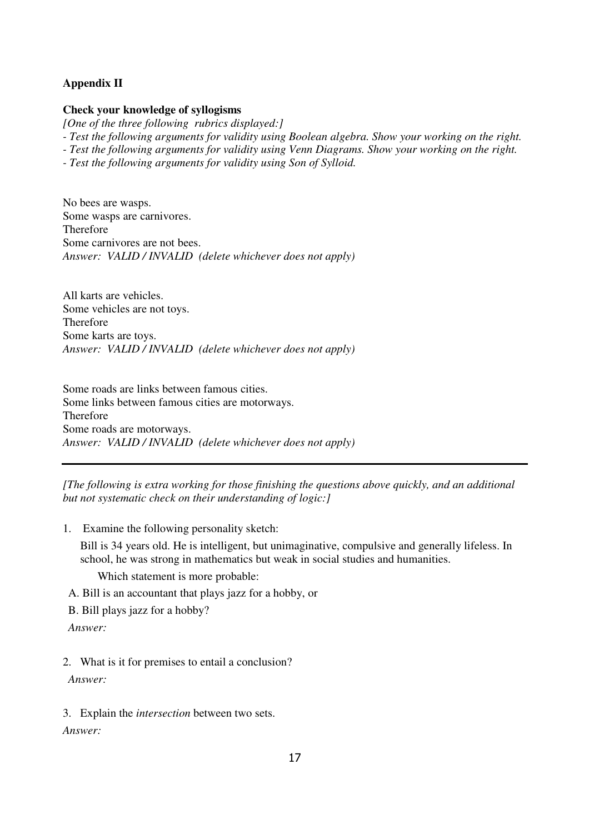#### **Appendix II**

#### **Check your knowledge of syllogisms**

*[One of the three following rubrics displayed:]* 

- *Test the following arguments for validity using Boolean algebra. Show your working on the right.*
- *Test the following arguments for validity using Venn Diagrams. Show your working on the right.*
- *Test the following arguments for validity using Son of Sylloid.*

No bees are wasps. Some wasps are carnivores. Therefore Some carnivores are not bees. *Answer: VALID / INVALID (delete whichever does not apply)* 

All karts are vehicles. Some vehicles are not toys. Therefore Some karts are toys. *Answer: VALID / INVALID (delete whichever does not apply)* 

Some roads are links between famous cities. Some links between famous cities are motorways. Therefore Some roads are motorways. *Answer: VALID / INVALID (delete whichever does not apply)* 

*[The following is extra working for those finishing the questions above quickly, and an additional but not systematic check on their understanding of logic:]* 

1. Examine the following personality sketch:

Bill is 34 years old. He is intelligent, but unimaginative, compulsive and generally lifeless. In school, he was strong in mathematics but weak in social studies and humanities.

Which statement is more probable:

- A. Bill is an accountant that plays jazz for a hobby, or
- B. Bill plays jazz for a hobby?

*Answer:*

- 2. What is it for premises to entail a conclusion? *Answer:*
- 3. Explain the *intersection* between two sets. *Answer:*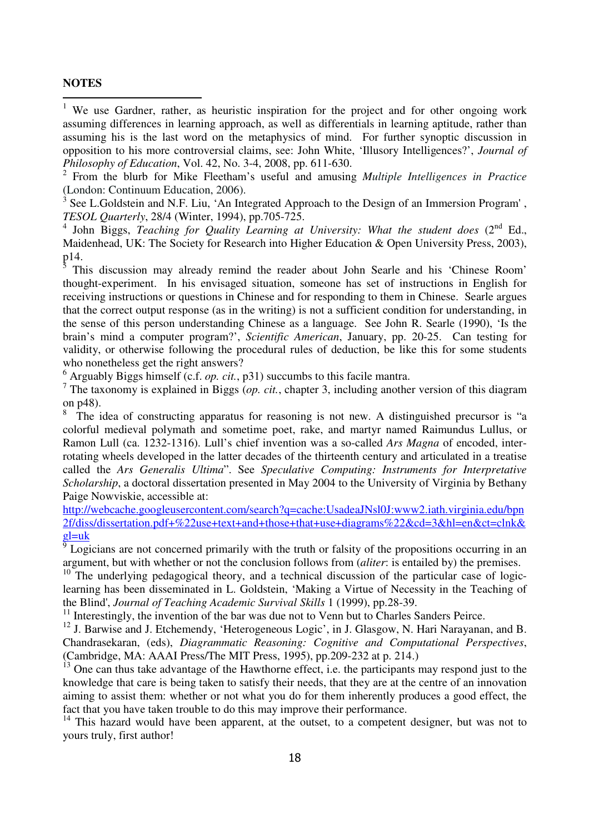#### **NOTES**

<sup>1</sup> We use Gardner, rather, as heuristic inspiration for the project and for other ongoing work assuming differences in learning approach, as well as differentials in learning aptitude, rather than assuming his is the last word on the metaphysics of mind. For further synoptic discussion in opposition to his more controversial claims, see: John White, 'Illusory Intelligences?', *Journal of Philosophy of Education*, Vol. 42, No. 3-4, 2008, pp. 611-630.

2 From the blurb for Mike Fleetham's useful and amusing *Multiple Intelligences in Practice* (London: Continuum Education, 2006).

3 See L.Goldstein and N.F. Liu, 'An Integrated Approach to the Design of an Immersion Program' , *TESOL Quarterly*, 28/4 (Winter, 1994), pp.705-725.

<sup>4</sup> John Biggs, *Teaching for Quality Learning at University: What the student does* (2<sup>nd</sup> Ed., Maidenhead, UK: The Society for Research into Higher Education & Open University Press, 2003), p14.

5 This discussion may already remind the reader about John Searle and his 'Chinese Room' thought-experiment. In his envisaged situation, someone has set of instructions in English for receiving instructions or questions in Chinese and for responding to them in Chinese. Searle argues that the correct output response (as in the writing) is not a sufficient condition for understanding, in the sense of this person understanding Chinese as a language. See John R. Searle (1990), 'Is the brain's mind a computer program?', *Scientific American*, January, pp. 20-25. Can testing for validity, or otherwise following the procedural rules of deduction, be like this for some students who nonetheless get the right answers?

 $<sup>6</sup>$  Arguably Biggs himself (c.f. *op. cit.*, p31) succumbs to this facile mantra.</sup>

 $<sup>7</sup>$  The taxonomy is explained in Biggs (*op. cit.*, chapter 3, including another version of this diagram</sup> on p48).

8 The idea of constructing apparatus for reasoning is not new. A distinguished precursor is "a colorful medieval polymath and sometime poet, rake, and martyr named Raimundus Lullus, or Ramon Lull (ca. 1232-1316). Lull's chief invention was a so-called *Ars Magna* of encoded, interrotating wheels developed in the latter decades of the thirteenth century and articulated in a treatise called the *Ars Generalis Ultima*". See *Speculative Computing: Instruments for Interpretative Scholarship*, a doctoral dissertation presented in May 2004 to the University of Virginia by Bethany Paige Nowviskie, accessible at:

http://webcache.googleusercontent.com/search?q=cache:UsadeaJNsl0J:www2.iath.virginia.edu/bpn 2f/diss/dissertation.pdf+%22use+text+and+those+that+use+diagrams%22&cd=3&hl=en&ct=clnk& gl=uk

 $\frac{9}{9}$  Logicians are not concerned primarily with the truth or falsity of the propositions occurring in an argument, but with whether or not the conclusion follows from (*aliter*: is entailed by) the premises.

<sup>10</sup> The underlying pedagogical theory, and a technical discussion of the particular case of logiclearning has been disseminated in L. Goldstein, 'Making a Virtue of Necessity in the Teaching of the Blind', *Journal of Teaching Academic Survival Skills* 1 (1999), pp.28-39.

 $11$  Interestingly, the invention of the bar was due not to Venn but to Charles Sanders Peirce.

<sup>12</sup> J. Barwise and J. Etchemendy, 'Heterogeneous Logic', in J. Glasgow, N. Hari Narayanan, and B. Chandrasekaran, (eds), *Diagrammatic Reasoning: Cognitive and Computational Perspectives*, (Cambridge, MA: AAAI Press/The MIT Press, 1995), pp.209-232 at p. 214.)

 $13$  One can thus take advantage of the Hawthorne effect, i.e. the participants may respond just to the knowledge that care is being taken to satisfy their needs, that they are at the centre of an innovation aiming to assist them: whether or not what you do for them inherently produces a good effect, the fact that you have taken trouble to do this may improve their performance.

 $14$  This hazard would have been apparent, at the outset, to a competent designer, but was not to yours truly, first author!